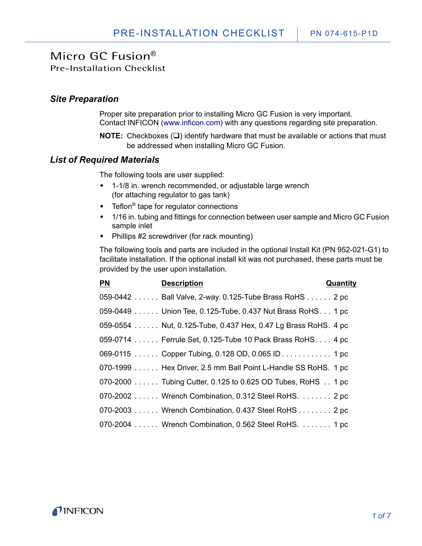Pre-Installation Checklist

#### *Site Preparation*

[Proper site preparation prior to installing Micro GC Fusion is very important.](http://www.inficon.com)  [Contact INFICON \(www.inficon.com\)](http://www.inficon.com) with any questions regarding site preparation.

**NOTE:** Checkboxes  $(\square)$  identify hardware that must be available or actions that must be addressed when installing Micro GC Fusion.

### *List of Required Materials*

The following tools are user supplied:

- 1-1/8 in. wrench recommended, or adjustable large wrench (for attaching regulator to gas tank)
- Teflon<sup>®</sup> tape for regulator connections
- 1/16 in. tubing and fittings for connection between user sample and Micro GC Fusion sample inlet
- Phillips #2 screwdriver (for rack mounting)

The following tools and parts are included in the optional Install Kit (PN 952-021-G1) to facilitate installation. If the optional install kit was not purchased, these parts must be provided by the user upon installation.

| PN | <b>Description</b>                                            | Quantity |
|----|---------------------------------------------------------------|----------|
|    | 059-0442 Ball Valve, 2-way. 0.125-Tube Brass RoHS 2 pc        |          |
|    | 059-0449 Union Tee, 0.125-Tube, 0.437 Nut Brass RoHS. 1 pc    |          |
|    | 059-0554 Nut, 0.125-Tube, 0.437 Hex, 0.47 Lg Brass RoHS. 4 pc |          |
|    |                                                               |          |
|    | 069-0115  Copper Tubing, 0.128 OD, 0.065 ID  1 pc             |          |
|    | 070-1999 Hex Driver, 2.5 mm Ball Point L-Handle SS RoHS. 1 pc |          |
|    | 070-2000 Tubing Cutter, 0.125 to 0.625 OD Tubes, RoHS 1 pc    |          |
|    | 070-2002  Wrench Combination, 0.312 Steel RoHS.  2 pc         |          |
|    | 070-2003  Wrench Combination, 0.437 Steel RoHS  2 pc          |          |
|    | 070-2004  Wrench Combination, 0.562 Steel RoHS.  1 pc         |          |

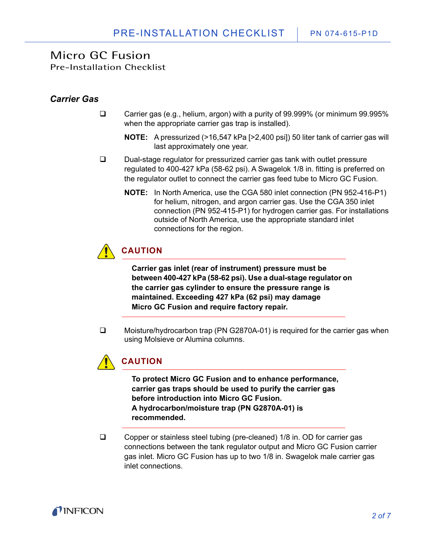Pre-Installation Checklist

### *Carrier Gas*

- Carrier gas (e.g., helium, argon) with a purity of 99.999% (or minimum 99.995% when the appropriate carrier gas trap is installed).
	- **NOTE:** A pressurized (>16,547 kPa [>2,400 psi]) 50 liter tank of carrier gas will last approximately one year.
- □ Dual-stage regulator for pressurized carrier gas tank with outlet pressure regulated to 400-427 kPa (58-62 psi). A Swagelok 1/8 in. fitting is preferred on the regulator outlet to connect the carrier gas feed tube to Micro GC Fusion.
	- **NOTE:** In North America, use the CGA 580 inlet connection (PN 952-416-P1) for helium, nitrogen, and argon carrier gas. Use the CGA 350 inlet connection (PN 952-415-P1) for hydrogen carrier gas. For installations outside of North America, use the appropriate standard inlet connections for the region.



**Carrier gas inlet (rear of instrument) pressure must be between 400-427 kPa (58-62 psi). Use a dual-stage regulator on the carrier gas cylinder to ensure the pressure range is maintained. Exceeding 427 kPa (62 psi) may damage Micro GC Fusion and require factory repair.**

 Moisture/hydrocarbon trap (PN G2870A-01) is required for the carrier gas when using Molsieve or Alumina columns.



**To protect Micro GC Fusion and to enhance performance, carrier gas traps should be used to purify the carrier gas before introduction into Micro GC Fusion. A hydrocarbon/moisture trap (PN G2870A-01) is recommended.**

□ Copper or stainless steel tubing (pre-cleaned) 1/8 in. OD for carrier gas connections between the tank regulator output and Micro GC Fusion carrier gas inlet. Micro GC Fusion has up to two 1/8 in. Swagelok male carrier gas inlet connections.

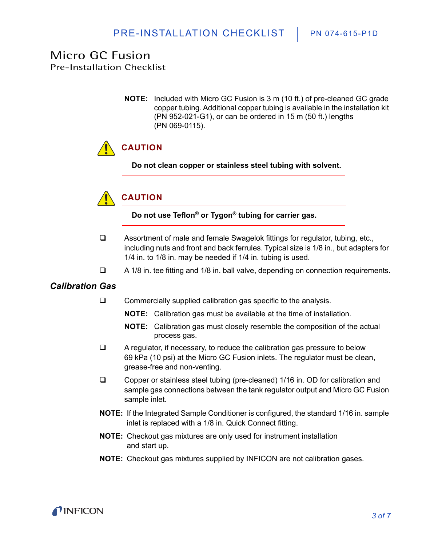Pre-Installation Checklist

**NOTE:** Included with Micro GC Fusion is 3 m (10 ft.) of pre-cleaned GC grade copper tubing. Additional copper tubing is available in the installation kit (PN 952-021-G1), or can be ordered in 15 m (50 ft.) lengths (PN 069-0115).

# **CAUTION**

**Do not clean copper or stainless steel tubing with solvent.**



**Do not use Teflon® or Tygon® tubing for carrier gas.**

- □ Assortment of male and female Swagelok fittings for regulator, tubing, etc., including nuts and front and back ferrules. Typical size is 1/8 in., but adapters for 1/4 in. to 1/8 in. may be needed if 1/4 in. tubing is used.
- $\Box$  A 1/8 in. tee fitting and 1/8 in. ball valve, depending on connection requirements.

### *Calibration Gas*

- $\square$  Commercially supplied calibration gas specific to the analysis.
	- **NOTE:** Calibration gas must be available at the time of installation.
	- **NOTE:** Calibration gas must closely resemble the composition of the actual process gas.
- $\Box$  A regulator, if necessary, to reduce the calibration gas pressure to below 69 kPa (10 psi) at the Micro GC Fusion inlets. The regulator must be clean, grease-free and non-venting.
- □ Copper or stainless steel tubing (pre-cleaned) 1/16 in. OD for calibration and sample gas connections between the tank regulator output and Micro GC Fusion sample inlet.
- **NOTE:** If the Integrated Sample Conditioner is configured, the standard 1/16 in. sample inlet is replaced with a 1/8 in. Quick Connect fitting.
- **NOTE:** Checkout gas mixtures are only used for instrument installation and start up.
- **NOTE:** Checkout gas mixtures supplied by INFICON are not calibration gases.

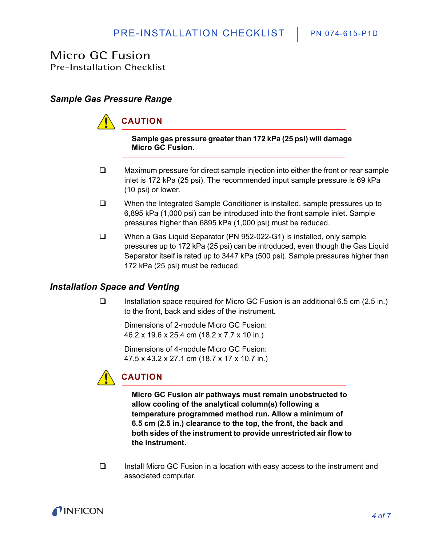Pre-Installation Checklist

### *Sample Gas Pressure Range*

**CAUTION**

**Sample gas pressure greater than 172 kPa (25 psi) will damage Micro GC Fusion.** 

- $\Box$  Maximum pressure for direct sample injection into either the front or rear sample inlet is 172 kPa (25 psi). The recommended input sample pressure is 69 kPa (10 psi) or lower.
- □ When the Integrated Sample Conditioner is installed, sample pressures up to 6,895 kPa (1,000 psi) can be introduced into the front sample inlet. Sample pressures higher than 6895 kPa (1,000 psi) must be reduced.
- When a Gas Liquid Separator (PN 952-022-G1) is installed, only sample pressures up to 172 kPa (25 psi) can be introduced, even though the Gas Liquid Separator itself is rated up to 3447 kPa (500 psi). Sample pressures higher than 172 kPa (25 psi) must be reduced.

### *Installation Space and Venting*

 $\Box$  Installation space required for Micro GC Fusion is an additional 6.5 cm (2.5 in.) to the front, back and sides of the instrument.

Dimensions of 2-module Micro GC Fusion: 46.2 x 19.6 x 25.4 cm (18.2 x 7.7 x 10 in.)

Dimensions of 4-module Micro GC Fusion: 47.5 x 43.2 x 27.1 cm (18.7 x 17 x 10.7 in.)



**Micro GC Fusion air pathways must remain unobstructed to allow cooling of the analytical column(s) following a temperature programmed method run. Allow a minimum of 6.5 cm (2.5 in.) clearance to the top, the front, the back and both sides of the instrument to provide unrestricted air flow to the instrument.**

 Install Micro GC Fusion in a location with easy access to the instrument and associated computer.

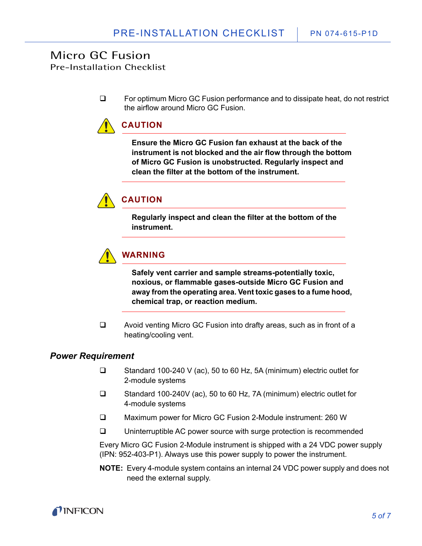Pre-Installation Checklist

□ For optimum Micro GC Fusion performance and to dissipate heat, do not restrict the airflow around Micro GC Fusion.



**Ensure the Micro GC Fusion fan exhaust at the back of the instrument is not blocked and the air flow through the bottom of Micro GC Fusion is unobstructed. Regularly inspect and clean the filter at the bottom of the instrument.**



### **CAUTION**

**Regularly inspect and clean the filter at the bottom of the instrument.**



**Safely vent carrier and sample streams-potentially toxic, noxious, or flammable gases-outside Micro GC Fusion and away from the operating area. Vent toxic gases to a fume hood, chemical trap, or reaction medium.**

 Avoid venting Micro GC Fusion into drafty areas, such as in front of a heating/cooling vent.

#### *Power Requirement*

- Standard 100-240 V (ac), 50 to 60 Hz, 5A (minimum) electric outlet for 2-module systems
- Standard 100-240V (ac), 50 to 60 Hz, 7A (minimum) electric outlet for 4-module systems
- Maximum power for Micro GC Fusion 2-Module instrument: 260 W
- □ Uninterruptible AC power source with surge protection is recommended

Every Micro GC Fusion 2-Module instrument is shipped with a 24 VDC power supply (IPN: 952-403-P1). Always use this power supply to power the instrument.

**NOTE:** Every 4-module system contains an internal 24 VDC power supply and does not need the external supply.

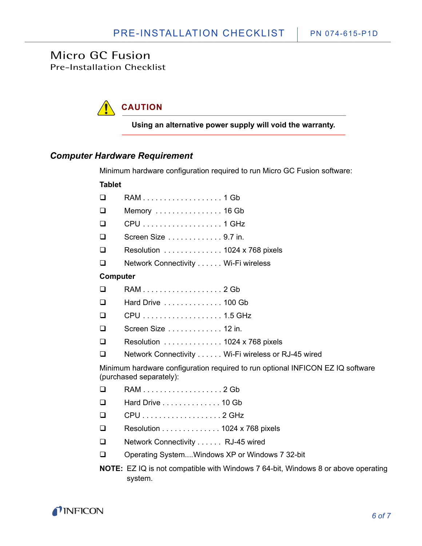Pre-Installation Checklist



**Using an alternative power supply will void the warranty.**

#### *Computer Hardware Requirement*

Minimum hardware configuration required to run Micro GC Fusion software:

#### **Tablet**

| $\Box$   |                                                                                                           |
|----------|-----------------------------------------------------------------------------------------------------------|
| $\Box$   | Memory  16 Gb                                                                                             |
| ❏        | CPU 1 GHz                                                                                                 |
| $\Box$   | Screen Size 9.7 in.                                                                                       |
| $\Box$   | Resolution  1024 x 768 pixels                                                                             |
| ❏        | Network Connectivity Wi-Fi wireless                                                                       |
| Computer |                                                                                                           |
| ❏        |                                                                                                           |
| $\Box$   | Hard Drive  100 Gb                                                                                        |
| $\Box$   |                                                                                                           |
| $\Box$   | Screen Size 12 in.                                                                                        |
| $\Box$   | Resolution  1024 x 768 pixels                                                                             |
| ❏        | Network Connectivity Wi-Fi wireless or RJ-45 wired                                                        |
|          | Minimum hardware configuration required to run optional INFICON EZ IQ software<br>(purchased separately): |
| ❏        |                                                                                                           |
| ❏        | Hard Drive 10 Gb                                                                                          |
| ❏        | CPU2 GHz                                                                                                  |
| ❏        | Resolution 1024 x 768 pixels                                                                              |
| ❏        | Network Connectivity RJ-45 wired                                                                          |
| □        | Operating SystemWindows XP or Windows 7 32-bit                                                            |
|          | <b>NOTE:</b> EZ IQ is not compatible with Windows 7 64-bit, Windows 8 or above operat                     |

**NOTE:** EZ IQ is not compatible with Windows 7 64-bit, Windows 8 or above operating system.